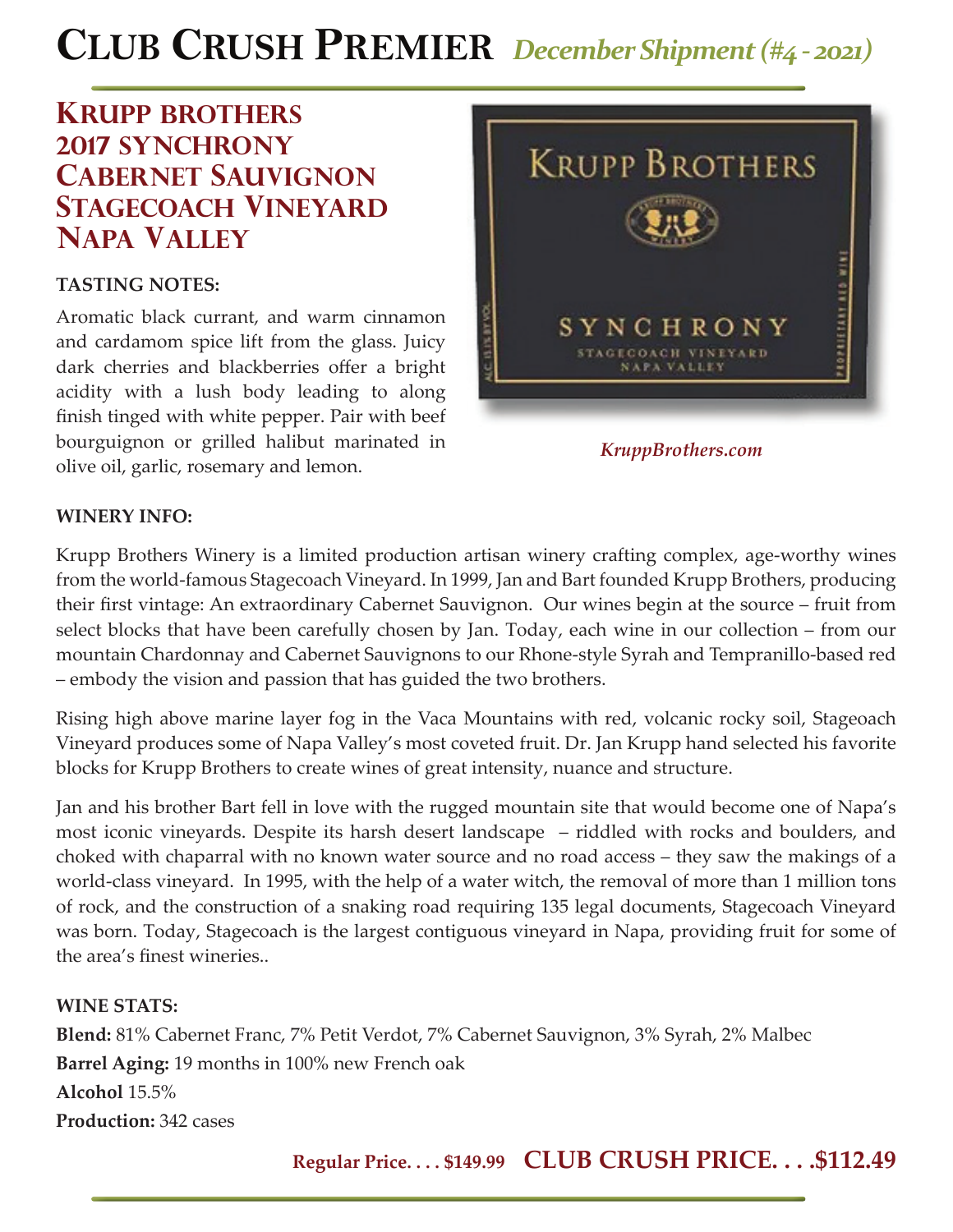# **CLUB CRUSH PREMIER** *December Shipment (#4 - 2021)*

## **krupp brothers 2017 synchrony cabernet sauvignon STAGECOACH VINEYARD napa valley**

#### **TASTING NOTES:**

Aromatic black currant, and warm cinnamon and cardamom spice lift from the glass. Juicy dark cherries and blackberries offer a bright acidity with a lush body leading to along finish tinged with white pepper. Pair with beef bourguignon or grilled halibut marinated in olive oil, garlic, rosemary and lemon.



*KruppBrothers.com*

#### **WINERY INFO:**

Krupp Brothers Winery is a limited production artisan winery crafting complex, age-worthy wines from the world-famous Stagecoach Vineyard. In 1999, Jan and Bart founded Krupp Brothers, producing their first vintage: An extraordinary Cabernet Sauvignon. Our wines begin at the source – fruit from select blocks that have been carefully chosen by Jan. Today, each wine in our collection – from our mountain Chardonnay and Cabernet Sauvignons to our Rhone-style Syrah and Tempranillo-based red – embody the vision and passion that has guided the two brothers.

Rising high above marine layer fog in the Vaca Mountains with red, volcanic rocky soil, Stageoach Vineyard produces some of Napa Valley's most coveted fruit. Dr. Jan Krupp hand selected his favorite blocks for Krupp Brothers to create wines of great intensity, nuance and structure.

Jan and his brother Bart fell in love with the rugged mountain site that would become one of Napa's most iconic vineyards. Despite its harsh desert landscape – riddled with rocks and boulders, and choked with chaparral with no known water source and no road access – they saw the makings of a world-class vineyard. In 1995, with the help of a water witch, the removal of more than 1 million tons of rock, and the construction of a snaking road requiring 135 legal documents, Stagecoach Vineyard was born. Today, Stagecoach is the largest contiguous vineyard in Napa, providing fruit for some of the area's finest wineries..

#### **WINE STATS:**

**Blend:** 81% Cabernet Franc, 7% Petit Verdot, 7% Cabernet Sauvignon, 3% Syrah, 2% Malbec **Barrel Aging:** 19 months in 100% new French oak **Alcohol** 15.5% **Production:** 342 cases

**Regular Price. . . . \$149.99 CLUB CRUSH PRICE. . . .\$112.49**